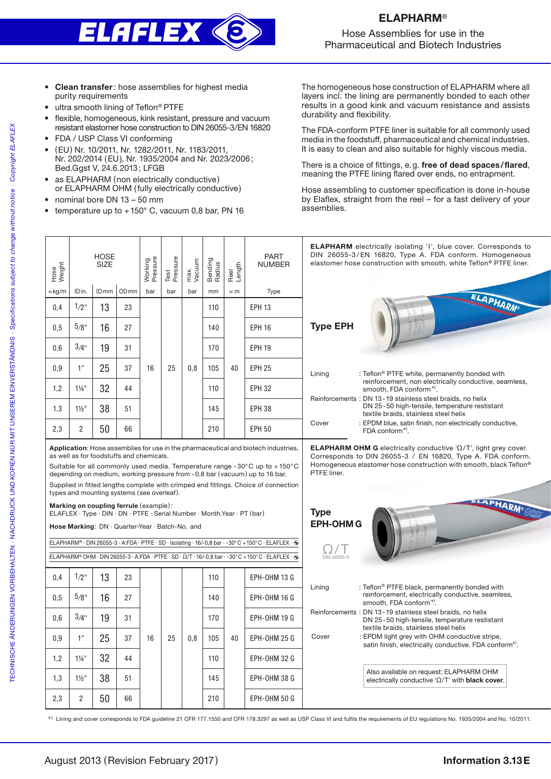

Hose Assemblies for use in the Pharmaceutical and Biotech Industries

- Clean transfer: hose assemblies for highest media purity requirements
- ultra smooth lining of Teflon® PTFE
- flexible, homogeneous, kink resistant, pressure and vacuum resistant elastomer hose construction to DIN 26055-3/EN 16820
- FDA / USP Class VI conforming
- (EU) Nr. 10/2011, Nr. 1282/2011, Nr. 1183/2011, Nr. 202/2014 (EU), Nr. 1935/2004 and Nr. 2023/2006; Bed.Ggst V, 24.6.2013; LFGB
- as ELAPHARM (non electrically conductive) or ELAPHARM OHM (fully electrically conductive)
- nominal bore DN 13 50 mm
- temperature up to  $+150^{\circ}$  C, vacuum 0,8 bar, PN 16

The homogeneous hose construction of ELAPHARM where all layers incl. the lining are permanently bonded to each other results in a good kink and vacuum resistance and assists durability and flexibility.

The FDA-conform PTFE liner is suitable for all commonly used media in the foodstuff, pharmaceutical and chemical industries. It is easy to clean and also suitable for highly viscous media.

There is a choice of fittings, e.g. free of dead spaces/flared, meaning the PTFE lining flared over ends, no entrapment.

Hose assembling to customer specification is done in-house by Elaflex, straight from the reel – for a fast delivery of your assemblies.

| Hose<br>Weight                                                                                                                                                                                                                                                                                                                                                                                                                                        |                  | <b>HOSE</b><br><b>SIZE</b> |                  | Working<br>Pressure | Test<br>Pressure | max.<br>Vacuum | Bending<br>Radius | Reel<br>Length | <b>PART</b><br><b>NUMBER</b>                                                                                                                                                                                                        | <b>ELAPHARM</b> electrically isolating 'I', blue cover. Corresponds to<br>DIN 26055-3/EN 16820, Type A. FDA conform. Homogeneous<br>elastomer hose construction with smooth, white Teflon® PTFE liner.                                                                                                                                                                                                                                           |  |  |
|-------------------------------------------------------------------------------------------------------------------------------------------------------------------------------------------------------------------------------------------------------------------------------------------------------------------------------------------------------------------------------------------------------------------------------------------------------|------------------|----------------------------|------------------|---------------------|------------------|----------------|-------------------|----------------|-------------------------------------------------------------------------------------------------------------------------------------------------------------------------------------------------------------------------------------|--------------------------------------------------------------------------------------------------------------------------------------------------------------------------------------------------------------------------------------------------------------------------------------------------------------------------------------------------------------------------------------------------------------------------------------------------|--|--|
| ≈kg/m                                                                                                                                                                                                                                                                                                                                                                                                                                                 | IDin.            | ID <sub>mm</sub>           | OD <sub>mm</sub> | bar                 | bar              | bar            | mm                | $\approx$ m    | Type                                                                                                                                                                                                                                |                                                                                                                                                                                                                                                                                                                                                                                                                                                  |  |  |
| 0,4                                                                                                                                                                                                                                                                                                                                                                                                                                                   | 1/2"             | 13                         | 23               | 16                  | 25               | 0.8            | 110               | 40             | <b>EPH 13</b>                                                                                                                                                                                                                       | ELAPHARM®<br><b>Type EPH</b><br>Lining<br>: Teflon <sup>®</sup> PTFE white, permanently bonded with<br>reinforcement, non electrically conductive, seamless,<br>smooth, FDA conform*).<br>Reinforcements: DN 13-19 stainless steel braids, no helix<br>DN 25-50 high-tensile, temperature restistant<br>textile braids, stainless steel helix<br>Cover<br>: EPDM blue, satin finish, non electrically conductive,<br>FDA conform <sup>*)</sup> . |  |  |
| 0.5                                                                                                                                                                                                                                                                                                                                                                                                                                                   | 5/8"             | 16                         | 27               |                     |                  |                | 140               |                | <b>EPH 16</b>                                                                                                                                                                                                                       |                                                                                                                                                                                                                                                                                                                                                                                                                                                  |  |  |
| 0,6                                                                                                                                                                                                                                                                                                                                                                                                                                                   | $3/4$ "          | 19                         | 31               |                     |                  |                | 170               |                | <b>EPH 19</b>                                                                                                                                                                                                                       |                                                                                                                                                                                                                                                                                                                                                                                                                                                  |  |  |
| 0,9                                                                                                                                                                                                                                                                                                                                                                                                                                                   | 1"               | 25                         | 37               |                     |                  |                | 105               |                | <b>EPH 25</b>                                                                                                                                                                                                                       |                                                                                                                                                                                                                                                                                                                                                                                                                                                  |  |  |
| 1,2                                                                                                                                                                                                                                                                                                                                                                                                                                                   | $1\frac{1}{4}$ " | 32                         | 44               |                     |                  |                | 110               |                | <b>EPH 32</b>                                                                                                                                                                                                                       |                                                                                                                                                                                                                                                                                                                                                                                                                                                  |  |  |
| 1,3                                                                                                                                                                                                                                                                                                                                                                                                                                                   | $1\frac{1}{2}$   | 38                         | 51               |                     |                  |                | 145               |                | <b>EPH 38</b>                                                                                                                                                                                                                       |                                                                                                                                                                                                                                                                                                                                                                                                                                                  |  |  |
| 2,3                                                                                                                                                                                                                                                                                                                                                                                                                                                   | $\overline{2}$   | 50                         | 66               |                     |                  |                | 210               |                | <b>EPH 50</b>                                                                                                                                                                                                                       |                                                                                                                                                                                                                                                                                                                                                                                                                                                  |  |  |
| Application: Hose assemblies for use in the pharmaceutical and biotech industries,<br>as well as for foodstuffs and chemicals.<br>Suitable for all commonly used media. Temperature range -30 $^{\circ}$ C up to +150 $^{\circ}$ C<br>depending on medium, working pressure from -0,8 bar (vacuum) up to 16 bar.<br>Supplied in fitted lengths complete with crimped end fittings. Choice of connection<br>types and mounting systems (see overleaf). |                  |                            |                  |                     |                  |                |                   |                | <b>ELAPHARM OHM G</b> electrically conductive ' $\Omega/T$ ', light grey cover.<br>Corresponds to DIN 26055-3 / EN 16820, Type A. FDA conform.<br>Homogeneous elastomer hose construction with smooth, black Teflon®<br>PTFE liner. |                                                                                                                                                                                                                                                                                                                                                                                                                                                  |  |  |
| Marking on coupling ferrule (example):<br>ELAFLEX · Type · DIN · DN · PTFE · Serial Number · Month.Year · PT (bar)<br>Hose Marking: DN · Quarter-Year · Batch-No. and                                                                                                                                                                                                                                                                                 |                  |                            |                  |                     |                  |                |                   |                | ELAPHARM® OCTO<br><b>Type</b><br><b>EPH-OHMG</b>                                                                                                                                                                                    |                                                                                                                                                                                                                                                                                                                                                                                                                                                  |  |  |
| ELAPHARM® · DIN 26055-3 · A:FDA · PTFE · SD · Isolating · 16/-0,8 bar · -30°C + 150°C · ELAFLEX · +                                                                                                                                                                                                                                                                                                                                                   |                  |                            |                  |                     |                  |                |                   |                |                                                                                                                                                                                                                                     |                                                                                                                                                                                                                                                                                                                                                                                                                                                  |  |  |
| ELAPHARM® OHM · DIN 26055-3 · A:FDA · PTFE · SD · Ω/T · 16/-0,8 bar · -30°C +150°C · ELAFLEX · A                                                                                                                                                                                                                                                                                                                                                      |                  |                            |                  |                     |                  |                |                   |                | DIN 26055-3                                                                                                                                                                                                                         |                                                                                                                                                                                                                                                                                                                                                                                                                                                  |  |  |
| 0,4                                                                                                                                                                                                                                                                                                                                                                                                                                                   | $1/2$ "          | 13                         | 23               |                     |                  |                | 110               |                | <b>EPH-OHM 13 G</b>                                                                                                                                                                                                                 | : Teflon <sup>®</sup> PTFE black, permanently bonded with<br>Lining                                                                                                                                                                                                                                                                                                                                                                              |  |  |
| 0.5                                                                                                                                                                                                                                                                                                                                                                                                                                                   | 5/8"             | 16                         | 27               |                     |                  |                | 140               |                | EPH-OHM 16 G                                                                                                                                                                                                                        | reinforcement, electrically conductive, seamless,<br>smooth. FDA conform*).                                                                                                                                                                                                                                                                                                                                                                      |  |  |
| 0,6                                                                                                                                                                                                                                                                                                                                                                                                                                                   | 3/4"             | 19                         | 31               |                     |                  |                | 170               |                | EPH-OHM 19 G                                                                                                                                                                                                                        | Reinforcements: DN 13-19 stainless steel braids, no helix<br>DN 25-50 high-tensile, temperature restistant<br>textile braids, stainless steel helix                                                                                                                                                                                                                                                                                              |  |  |
| 0.9                                                                                                                                                                                                                                                                                                                                                                                                                                                   | 1"               | 25                         | 37               | 16                  | 25               | 0,8            | 105               | 40             | <b>EPH-OHM 25 G</b>                                                                                                                                                                                                                 | Cover<br>: EPDM light grey with OHM conductive stripe,<br>satin finish, electrically conductive. FDA conform <sup>*)</sup> .                                                                                                                                                                                                                                                                                                                     |  |  |
| 1,2                                                                                                                                                                                                                                                                                                                                                                                                                                                   | $1\frac{1}{4}$ " | 32                         | 44               |                     |                  |                | 110               |                | EPH-OHM 32 G                                                                                                                                                                                                                        |                                                                                                                                                                                                                                                                                                                                                                                                                                                  |  |  |
| 1,3                                                                                                                                                                                                                                                                                                                                                                                                                                                   | $1\frac{1}{2}$ " | 38                         | 51               |                     |                  |                | 145               |                | EPH-OHM 38 G                                                                                                                                                                                                                        | Also available on request: ELAPHARM OHM<br>electrically conductive ' $\Omega/T$ ' with black cover.                                                                                                                                                                                                                                                                                                                                              |  |  |
| 2,3                                                                                                                                                                                                                                                                                                                                                                                                                                                   | 2                | 50                         | 66               |                     |                  |                | 210               |                | EPH-OHM 50 G                                                                                                                                                                                                                        |                                                                                                                                                                                                                                                                                                                                                                                                                                                  |  |  |

\*) Lining and cover corresponds to FDA guideline 21 CFR 177.1550 and CFR 178.3297 as well as USP Class VI and fulfils the requirements of EU regulations No. 1935/2004 and No. 10/2011.